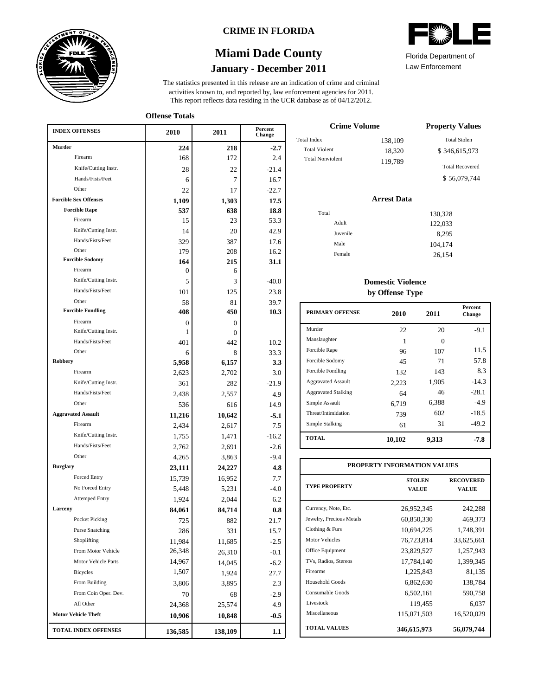

### **CRIME IN FLORIDA**

## **January - December 2011 Miami Dade County**

This report reflects data residing in the UCR database as of 04/12/2012. activities known to, and reported by, law enforcement agencies for 2011. The statistics presented in this release are an indication of crime and criminal

Law Enforcement Florida Department of

| <b>INDEX OFFENSES</b>             | 2010     | 2011     | Percent<br>Change |  |
|-----------------------------------|----------|----------|-------------------|--|
| Murder                            | 224      | 218      | $-2.7$            |  |
| Firearm                           | 168      | 172      | 2.4               |  |
| Knife/Cutting Instr.              | 28       | 22       | $-21.4$           |  |
| Hands/Fists/Feet                  | 6        | 7        | 16.7              |  |
| Other                             | 22       | 17       | $-22.7$           |  |
| <b>Forcible Sex Offenses</b>      | 1,109    | 1,303    | 17.5              |  |
| <b>Forcible Rape</b>              | 537      | 638      | 18.8              |  |
| Firearm                           | 15       | 23       | 53.3              |  |
| Knife/Cutting Instr.              | 14       | 20       | 42.9              |  |
| Hands/Fists/Feet                  | 329      | 387      | 17.6              |  |
| Other                             | 179      | 208      | 16.2              |  |
| <b>Forcible Sodomy</b>            | 164      | 215      | 31.1              |  |
| Firearm                           | 0        | 6        |                   |  |
| Knife/Cutting Instr.              | 5        | 3        | $-40.0$           |  |
| Hands/Fists/Feet                  | 101      | 125      | 23.8              |  |
| Other<br><b>Forcible Fondling</b> | 58       | 81       | 39.7              |  |
|                                   | 408      | 450      | 10.3              |  |
| Firearm<br>Knife/Cutting Instr.   | 0        | 0        |                   |  |
| Hands/Fists/Feet                  | 1        | $\Omega$ |                   |  |
| Other                             | 401<br>6 | 442<br>8 | 10.2<br>33.3      |  |
| <b>Robbery</b>                    | 5,958    | 6,157    | 3.3               |  |
| Firearm                           | 2,623    | 2,702    | 3.0               |  |
| Knife/Cutting Instr.              | 361      | 282      | $-21.9$           |  |
| Hands/Fists/Feet                  | 2,438    | 2,557    |                   |  |
| Other                             | 536      | 616      | 4.9<br>14.9       |  |
| <b>Aggravated Assault</b>         | 11,216   | 10,642   | $-5.1$            |  |
| Firearm                           | 2,434    | 2,617    | 7.5               |  |
| Knife/Cutting Instr.              | 1,755    | 1,471    | $-16.2$           |  |
| Hands/Fists/Feet                  | 2,762    | 2,691    | $-2.6$            |  |
| Other                             | 4,265    | 3,863    | $-9.4$            |  |
| <b>Burglary</b>                   | 23,111   | 24,227   | 4.8               |  |
| Forced Entry                      | 15,739   | 16,952   | 7.7               |  |
| No Forced Entry                   | 5,448    | 5,231    | $-4.0$            |  |
| <b>Attemped Entry</b>             | 1,924    | 2,044    | 6.2               |  |
| Larceny                           | 84,061   | 84,714   | 0.8               |  |
| Pocket Picking                    | 725      | 882      | 21.7              |  |
| <b>Purse Snatching</b>            | 286      | 331      | 15.7              |  |
| Shoplifting                       | 11,984   | 11,685   | $-2.5$            |  |
| From Motor Vehicle                | 26,348   | 26,310   | $-0.1$            |  |
| Motor Vehicle Parts               | 14,967   | 14,045   | $-6.2$            |  |
| <b>Bicycles</b>                   | 1,507    | 1,924    | 27.7              |  |
| From Building                     | 3,806    | 3,895    | 2.3               |  |
| From Coin Oper. Dev.              | 70       | 68       | $-2.9$            |  |
| All Other                         | 24,368   | 25,574   | 4.9               |  |
| <b>Motor Vehicle Theft</b>        | 10,906   | 10,848   | $-0.5$            |  |
| <b>TOTAL INDEX OFFENSES</b>       | 136,585  | 138,109  | $1.1\,$           |  |

| <b>Crime Volume</b>     | <b>Property Values</b> |                        |
|-------------------------|------------------------|------------------------|
| <b>Total Index</b>      | 138,109                | <b>Total Stolen</b>    |
| <b>Total Violent</b>    | 18,320                 | \$346,615,973          |
| <b>Total Nonviolent</b> | 119.789                | <b>Total Recovered</b> |
|                         |                        | \$56,079,744           |
|                         |                        |                        |

#### **Arrest Data** Total Adult Juvenile Male Female 130,328 122,033 8,295 104,174 26,154

### **Domestic Violence by Offense Type**

| <b>PRIMARY OFFENSE</b>     | 2010   | 2011     | <b>Percent</b><br><b>Change</b> |
|----------------------------|--------|----------|---------------------------------|
| Murder                     | 22     | 20       | $-9.1$                          |
| Manslaughter               | 1      | $\Omega$ |                                 |
| Forcible Rape              | 96     | 107      | 11.5                            |
| Forcible Sodomy            | 45     | 71       | 57.8                            |
| Forcible Fondling          | 132    | 143      | 8.3                             |
| <b>Aggravated Assault</b>  | 2,223  | 1,905    | $-14.3$                         |
| <b>Aggravated Stalking</b> | 64     | 46       | $-28.1$                         |
| Simple Assault             | 6,719  | 6,388    | $-4.9$                          |
| Threat/Intimidation        | 739    | 602      | $-18.5$                         |
| Simple Stalking            | 61     | 31       | $-49.2$                         |
| <b>TOTAL</b>               | 10,102 | 9,313    | -7.8                            |

| PROPERTY INFORMATION VALUES |                               |                                  |  |  |  |  |
|-----------------------------|-------------------------------|----------------------------------|--|--|--|--|
| <b>TYPE PROPERTY</b>        | <b>STOLEN</b><br><b>VALUE</b> | <b>RECOVERED</b><br><b>VALUE</b> |  |  |  |  |
| Currency, Note, Etc.        | 26,952,345                    | 242,288                          |  |  |  |  |
| Jewelry, Precious Metals    | 60,850,330                    | 469,373                          |  |  |  |  |
| Clothing & Furs             | 10,694,225                    | 1,748,391                        |  |  |  |  |
| <b>Motor Vehicles</b>       | 76,723,814                    | 33,625,661                       |  |  |  |  |
| Office Equipment            | 23,829,527                    | 1,257,943                        |  |  |  |  |
| TVs. Radios. Stereos        | 17,784,140                    | 1,399,345                        |  |  |  |  |
| Firearms                    | 1,225,843                     | 81,135                           |  |  |  |  |
| Household Goods             | 6,862,630                     | 138,784                          |  |  |  |  |
| Consumable Goods            | 6,502,161                     | 590,758                          |  |  |  |  |
| Livestock                   | 119,455                       | 6,037                            |  |  |  |  |
| Miscellaneous               | 115,071,503                   | 16,520,029                       |  |  |  |  |
| <b>TOTAL VALUES</b>         | 346,615,973                   | 56,079,744                       |  |  |  |  |